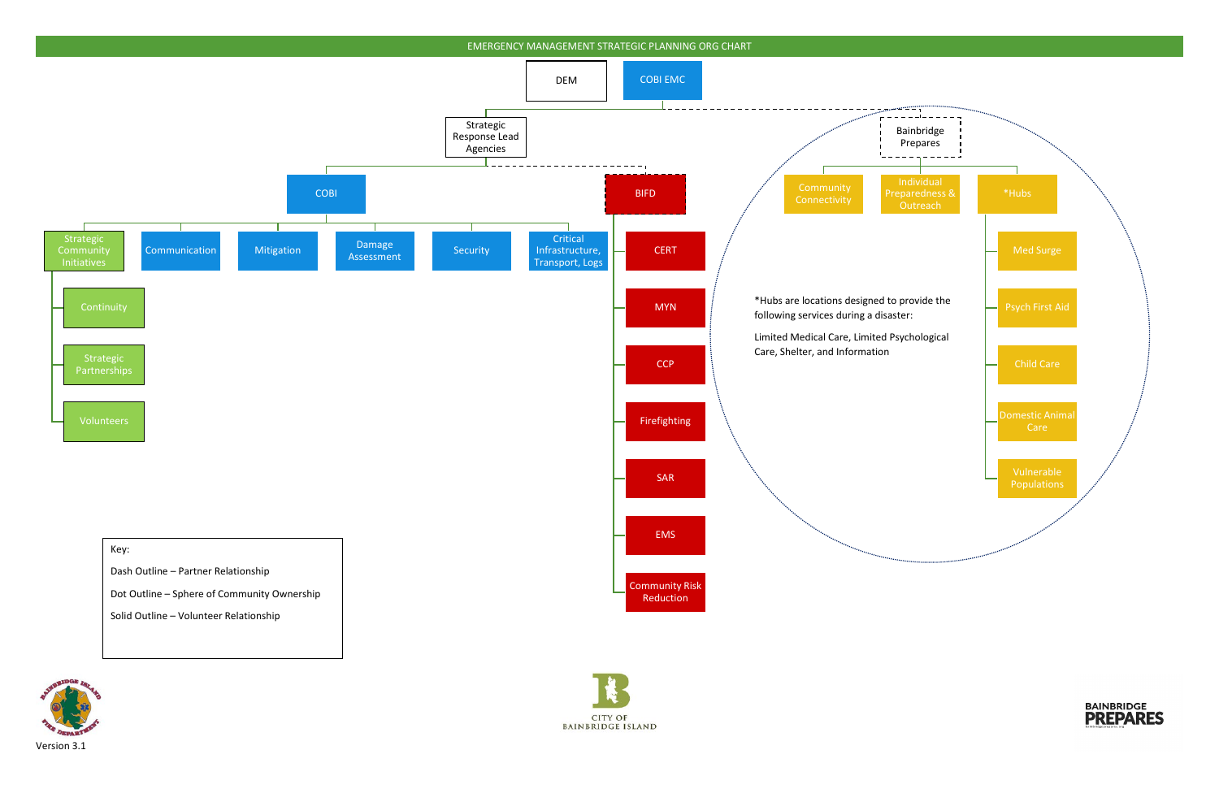







Solid Outline – Volunteer Relationship